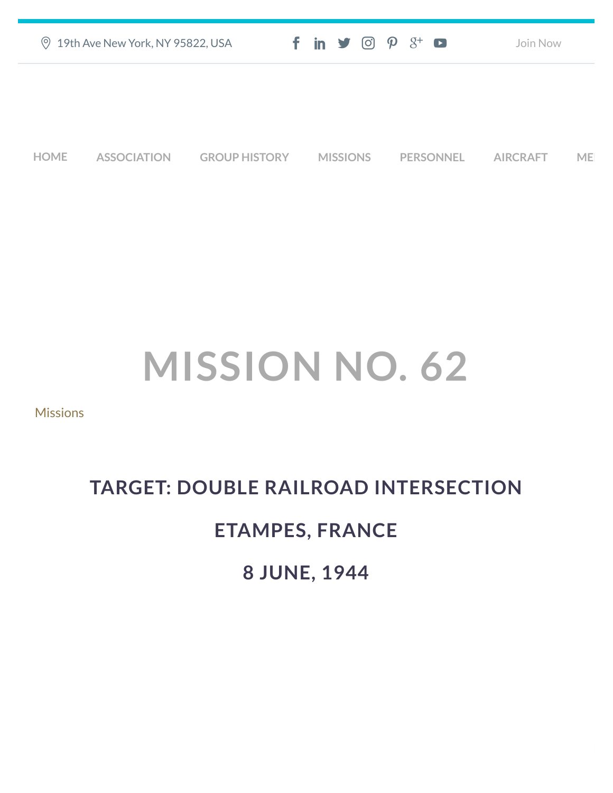|             | <b>9 19th Ave New York, NY 95822, USA</b> |                      | $f$ in $\mathcal{I}$ $\odot$ $\mathcal{P}$ $\mathcal{S}^{\perp}$ $\bullet$ |                  | Join Now        |    |
|-------------|-------------------------------------------|----------------------|----------------------------------------------------------------------------|------------------|-----------------|----|
|             |                                           |                      |                                                                            |                  |                 |    |
|             |                                           |                      |                                                                            |                  |                 |    |
| <b>HOME</b> | <b>ASSOCIATION</b>                        | <b>GROUP HISTORY</b> | <b>MISSIONS</b>                                                            | <b>PERSONNEL</b> | <b>AIRCRAFT</b> | ME |

## **MISSION NO. 62**

[Missions](https://457thbombgroupassoc.org/category/missions/)

## **TARGET: DOUBLE RAILROAD INTERSECTION**

## **ETAMPES, FRANCE**

**8 JUNE, 1944**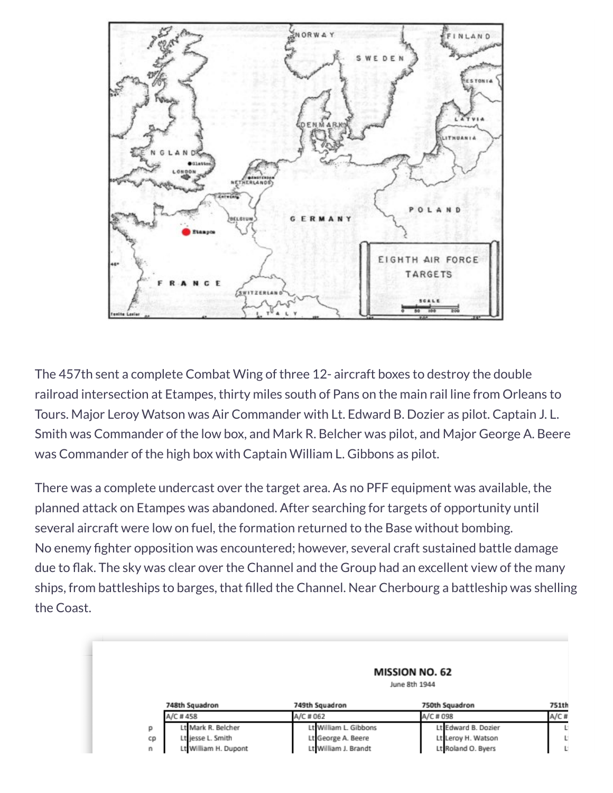

The 457th sent a complete Combat Wing of three 12- aircraft boxes to destroy the double railroad intersection at Etampes, thirty miles south of Pans on the main rail line from Orleans to Tours. Major Leroy Watson was Air Commander with Lt. Edward B. Dozier as pilot. Captain J. L. Smith was Commander of the low box, and Mark R. Belcher was pilot, and Major George A. Beere was Commander of the high box with Captain William L. Gibbons as pilot.

There was a complete undercast over the target area. As no PFF equipment was available, the planned attack on Etampes was abandoned. After searching for targets of opportunity until several aircraft were low on fuel, the formation returned to the Base without bombing. No enemy fighter opposition was encountered; however, several craft sustained battle damage due to flak. The sky was clear over the Channel and the Group had an excellent view of the many ships, from battleships to barges, that filled the Channel. Near Cherbourg a battleship was shelling the Coast.

|    | <b>MISSION NO. 62</b><br>June 8th 1944 |                       |                     |       |  |  |  |  |
|----|----------------------------------------|-----------------------|---------------------|-------|--|--|--|--|
|    | 748th Squadron                         | 749th Squadron        | 750th Squadron      | 751th |  |  |  |  |
|    | A/C #458                               | A/C # 062             | A/C # 098           | A/C#  |  |  |  |  |
| р  | Lt Mark R. Belcher                     | Lt William L. Gibbons | Lt Edward B. Dozier | L.    |  |  |  |  |
| cp | Lt jesse L. Smith                      | Lt George A. Beere    | Lt Leroy H. Watson  | U.    |  |  |  |  |
| n  | Lt William H. Dupont                   | Lt William J. Brandt  | Lt Roland O. Byers  | L.    |  |  |  |  |